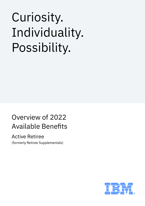## Curiosity. Individuality. Possibility.

### Overview of 2022 Available Benefits

### Active Retiree

(formerly Retiree Supplementals)

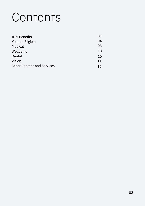## **Contents**

| <b>IBM Benefits</b>                | 03 |
|------------------------------------|----|
| You are Eligible                   | 04 |
| Medical                            | 05 |
| Wellbeing                          | 10 |
| Dental                             | 10 |
| Vision                             | 11 |
| <b>Other Benefits and Services</b> | 12 |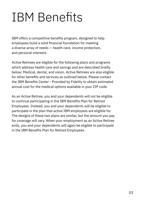## IBM Benefits

IBM offers a competitive benefits program, designed to help employees build a solid financial foundation for meeting a diverse array of needs — health care, income protection, and personal interests.

Active Retirees are eligible for the following plans and programs which address health care and savings and are described briefly below: Medical, dental, and vision. Active Retirees are also eligible for other benefits and services as outlined below. Please contact the IBM Benefits Center - Provided by Fidelity to obtain estimated annual cost for the medical options available in your ZIP code.

As an Active Retiree, you and your dependents will not be eligible to continue participating in the IBM Benefits Plan for Retired Employees. Instead, you and your dependents will be eligible to participate in the plan that active IBM employees are eligible for. The designs of these two plans are similar, but the amount you pay for coverage will vary. When your employment as an Active Retiree ends, you and your dependents will again be eligible to participate in the IBM Benefits Plan for Retired Employees.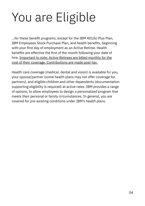# You are Eligible

...for these benefit programs, except for the IBM 401(k) Plus Plan, IBM Employees Stock Purchase Plan, and health benefits, beginning with your first day of employment as an Active Retiree. Health benefits are effective the first of the month following your date of hire. Important to note: Active Retirees are billed monthly for the cost of their coverage. Contributions are made post-tax.

Health care coverage (medical, dental and vision) is available for you, your spouse/partner (some health plans may not offer coverage for partners), and eligible children and other dependents (documentation supporting eligibility is required) at active rates. IBM provides a range of options, to allow employees to design a personalized program that meets their personal or family circumstances. In general, you are covered for pre-existing conditions under IBM's health plans.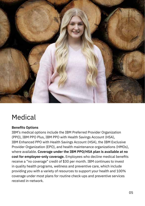

## Medical

#### **Benefits Options**

IBM's medical options include the IBM Preferred Provider Organization (PPO), IBM PPO Plus, IBM PPO with Health Savings Account (HSA), IBM Enhanced PPO with Health Savings Account (HSA), the IBM Exclusive Provider Organization (EPO), and health maintenance organizations (HMOs), where available. **Coverage under the IBM PPO/HSA plan is available at no cost for employee-only coverage.** Employees who decline medical benefits receive a "no coverage" credit of \$30 per month. IBM continues to invest in quality health programs, wellness and preventive care, which include providing you with a variety of resources to support your health and 100% coverage under most plans for routine check-ups and preventive services received in-network.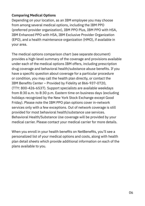#### **Comparing Medical Options**

Depending on your location, as an IBM employee you may choose from among several medical options, including the IBM PPO (preferred provider organization), IBM PPO Plus, IBM PPO with HSA, IBM Enhanced PPO with HSA, IBM Exclusive Provider Organization (EPO), and a health maintenance organization (HMO), if available in your area.

The medical options comparison chart (see separate document) provides a high-level summary of the coverage and provisions available under each of the medical options IBM offers, including prescription drug coverage and behavioral health/substance abuse benefits. If you have a specific question about coverage for a particular procedure or condition, you may call the health plan directly, or contact the IBM Benefits Center – Provided by Fidelity at 866-937-0720, (TTY: 800-426-6537). Support specialists are available weekdays from 8:30 a.m. to 8:30 p.m. Eastern time on business days (excluding holidays recognized by the New York Stock Exchange except Good Friday). Please note the IBM PPO plan options cover in-network services only with a few exceptions. Out of network coverage is still provided for most behavioral health/substance use services. Behavioral Health/Substance Use coverage will be provided by your medical carrier. Please contact your medical carrier for more details.

When you enroll in your health benefits on NetBenefits, you'll see a personalized list of your medical options and costs, along with health plan detail sheets which provide additional information on each of the plans available to you.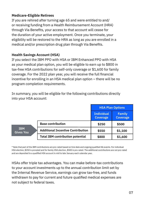#### **Medicare-Eligible Retirees**

If you are rehired after turning age 65 and were entitled to and/ or receiving funding from a Health Reimbursement Account (HRA) through Via Benefits, your access to that account will cease for the duration of your active employment. Once you terminate, your eligibility will be restored to the HRA as long as you are enrolled in a medical and/or prescription drug plan through Via Benefits.

#### **Health Savings Account (HSA)**

If you select the IBM PPO with HSA or IBM Enhanced PPO with HSA as your medical plan option, you will be eligible to earn up to \$800 in tax-free HSA contributions for self-only coverage or \$1,600 for family coverage. For the 2022 plan year, you will receive the full financial incentive for enrolling in an HSA medical plan option – there will be no program completion requirements.

In summary, you will be eligible for the following contributions directly into your HSA account:

|                                |                                          | <b>HSA Plan Options</b>       |                           |
|--------------------------------|------------------------------------------|-------------------------------|---------------------------|
|                                |                                          | <b>Individual</b><br>Coverage | <b>Family</b><br>Coverage |
| <b>IBM</b><br><b>Gives You</b> | <b>Base contribution</b>                 | \$250                         | \$500                     |
|                                | <b>Additional Incentive Contribution</b> | \$550                         | \$1,100                   |
|                                | <b>Total IBM contribution potential</b>  | \$800                         | \$1,600                   |

\* Note that part of the IBM contributions are pro-rated based on hire date and ongoing qualified life events. For individual HSA election, \$250 is prorated and for family HSA election, \$500 is pro-rated. The additional contributions are not pro-rated and are deposited to a qualified HSA account in mid to late January each calendar year.

HSAs offer triple tax advantages. You can make before-tax contributions to your account investments up to the annual contribution limit set by the Internal Revenue Service, earnings can grow tax-free, and funds withdrawn to pay for current and future qualified medical expenses are not subject to federal taxes.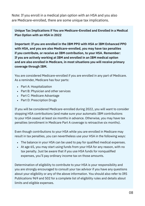Note: If you enroll in a medical plan option with an HSA and you also are Medicare-enrolled, there are some unique tax implications.

#### **Unique Tax Implications if You are Medicare-Enrolled and Enrolled in a Medical Plan Option with an HSA in 2022**

**Important: If you are enrolled in the IBM PPO with HSA or IBM Enhanced PPO with HSA, and you are also Medicare-enrolled, you may have tax penalties if you contribute, or receive an IBM contribution, to your HSA. Remember: If you are actively working at IBM and enrolled in an IBM medical option and are also enrolled in Medicare, in most situations you will receive primary coverage through IBM.**

You are considered Medicare-enrolled if you are enrolled in any part of Medicare. As a reminder, Medicare has four parts:

- Part A: Hospitalization
- Part B: Physician and other services
- Part C: Medicare Advantage
- Part D: Prescription Drugs

If you will be considered Medicare-enrolled during 2022, you will want to consider stopping HSA contributions (and make sure your automatic IBM contributions to your HSA cease) at least six months in advance. Otherwise, you may have tax penalties (enrollment in Medicare Part A coverage is retroactive six months).

Even though contributions to your HSA while you are enrolled in Medicare may result in tax penalties, you can nevertheless use your HSA in the following ways:

- The balance in your HSA can be used to pay for qualified medical expenses.
- At age 65, you may start using funds from your HSA for any reason, with no tax penalty. Just be aware that if you use HSA funds for nonqualified expenses, you'll pay ordinary income tax on those amounts.

Determination of eligibility to contribute to your HSA is your responsibility and you are strongly encouraged to consult your tax advisor if you have any questions about your eligibility or any of the above information. You should also refer to IRS Publications 969 and 502 for a complete list of eligibility rules and details about limits and eligible expenses.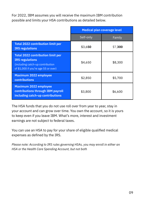For 2022, IBM assumes you will receive the maximum IBM contribution possible and limits your HSA contributions as detailed below.

|                                                                                                                                                | Medical plan coverage level |         |
|------------------------------------------------------------------------------------------------------------------------------------------------|-----------------------------|---------|
|                                                                                                                                                | Self-only                   | Family  |
| <b>Total 2022 contribution limit per</b><br><b>IRS regulations</b>                                                                             | \$3,650                     | \$7,300 |
| <b>Total 2022 contribution limit per</b><br><b>IRS</b> regulations<br>(including catch-up contribution<br>of \$1,000 if you're age 55 or over) | \$4,650                     | \$8,300 |
| <b>Maximum 2022 employee</b><br>contributions                                                                                                  | \$2,850                     | \$5,700 |
| <b>Maximum 2022 employee</b><br>contributions through IBM payroll<br>including catch-up contributions                                          | \$3,800                     | \$6,600 |

The HSA funds that you do not use roll over from year to year, stay in your account and can grow over time. You own the account, so it is yours to keep even if you leave IBM. What's more, interest and investment earnings are not subject to federal taxes.

You can use an HSA to pay for your share of eligible qualified medical expenses as defined by the IRS.

*Please note: According to IRS rules governing HSAs, you may enroll in either an HSA or the Health Care Spending Account, but not both*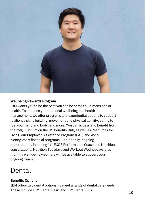

#### **Wellbeing Rewards Program**

IBM wants you to be the best you can be across all dimensions of health. To enhance your personal wellbeing and health management, we offer programs and experiential options to support resilience skills building, movement and physical activity, eating to fuel your mind and body, and more. You can access and benefit from the meQuilibrium on the US Benefits Hub, as well as Resources for Living, our Employee Assistance Program (EAP) and Ayco MoneySmart financial programs. Additionally, ongoing opportunities, including 1:1 EXOS Performance Coach and Nutrition consultations, Nutrition Tuesdays and Workout Wednesdays plus monthly well-being webinars will be available to support your ongoing needs.

### Dental

#### **Benefits Options**

IBM offers two dental options, to meet a range of dental care needs. These include IBM Dental Basic and IBM Dental Plus. 10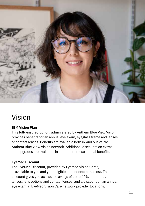

## Vision

#### **IBM Vision Plan**

This fully-insured option, administered by Anthem Blue View Vision, provides benefits for an annual eye exam, eyeglass frame and lenses or contact lenses. Benefits are available both in-and out-of-the Anthem Blue View Vision network. Additional discounts on extras and upgrades are available, in addition to these annual benefits.

#### **EyeMed Discount**

The EyeMed Discount, provided by EyeMed Vision Care®, is available to you and your eligible dependents at no cost. This discount gives you access to savings of up to 40% on frames, lenses, lens options and contact lenses, and a discount on an annual eye exam at EyeMed Vision Care network provider locations.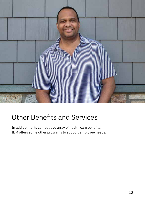

### Other Benefits and Services

In addition to its competitive array of health care benefits, IBM offers some other programs to support employee needs.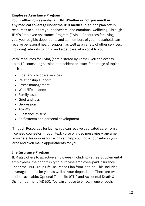#### **Employee Assistance Program**

Your wellbeing is essential at IBM. **Whether or not you enroll in any medical coverage under the IBM medical plan**, the plan offers resources to support your behavioral and emotional wellbeing. Through IBM's Employee Assistance Program (EAP) -- Resources for Living - you, your eligible dependents and all members of your household, can receive behavioral health support, as well as a variety of other services, including referrals for child and elder care, at no cost to you.

With Resources for Living (administered by Aetna), you can access up to 12 counseling session per incident or issue, for a range of topics such as:

- Elder and childcare services
- Relationship support
- Stress management
- Work/life balance
- Family issues
- Grief and loss
- Depression
- Anxiety
- Substance misuse
- Self esteem and personal development

Through Resources for Living, you can receive dedicated care from a licensed counselor through text, voice or video messages – anytime, anywhere. Resources for Living can help you find a counselor in your area and even make appointments for you.

#### **Life Insurance Program**

IBM also offers to all active employees (including Retiree Supplemental employees), the opportunity to purchase employee-paid insurance under the IBM Group Life Insurance Plan from MetLife. This includes coverage options for you, as well as your dependents. There are two options available: Optional Term Life (OTL) and Accidental Death & Dismemberment (AD&D). You can choose to enroll in one or both.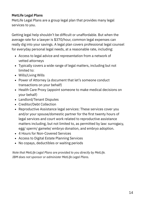#### **MetLife Legal Plans**

MetLife Legal Plans are a group legal plan that provides many legal services to you.

Getting legal help shouldn't be difficult or unaffordable. But when the average rate for a lawyer is \$370/hour, common legal expenses can really dig into your savings. A legal plan covers professional legal counsel for everyday personal legal needs, at a reasonable rate, including:

- Access to legal advice and representation from a network of vetted attorneys
- Typically covers a wide range of legal matters, including but not limited to:
- Wills/Living Wills
- Power of Attorney (a document that let's someone conduct transactions on your behalf)
- Health Care Proxy (appoint someone to make medical decisions on your behalf)
- Landlord/Tenant Disputes
- Creditor/Debt Collection
- Reproductive Assistance legal services: These services cover you and/or your spouse/domestic partner for the first twenty hours of legal services and court work related to reproductive assistance matters including, but not limited to, as permitted by law: surrogacy, egg/ sperm/ gamete/ embryo donation, and embryo adoption.
- 4 Hours for Non-Covered Services
- Access to Digital Estate Planning Services
- No copays, deductibles or waiting periods

*Note that MetLife Legal Plans are provided to you directly by MetLife. IBM does not sponsor or administer MetLife Legal Plans.*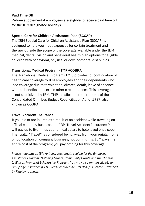#### **Paid Time Off**

Retiree supplemental employees are eligible to receive paid time off for the IBM designated holidays.

#### **Special Care for Children Assistance Plan (SCCAP)**

The IBM Special Care for Children Assistance Plan (SCCAP) is designed to help you meet expenses for certain treatment and therapy outside the scope of the coverage available under the IBM medical, dental, vision and behavioral health plan options for eligible children with behavioral, physical or developmental disabilities.

#### **Transitional Medical Program (TMP)/COBRA**

The Transitional Medical Program (TMP) provides for continuation of health care coverage to IBM employees and their dependents who lose coverage due to termination, divorce, death, leave of absence without benefits and certain other circumstances. This coverage is not subsidized by IBM. TMP satisfies the requirements of the Consolidated Omnibus Budget Reconciliation Act of 1987, also known as COBRA.

#### **Travel Accident Insurance**

If you die or are injured as a result of an accident while traveling on official company business, the IBM Travel Accident Insurance Plan will pay up to five times your annual salary to help loved ones cope financially. "Travel" is considered being away from your regular home or job location on company business, not commuting. IBM pays the entire cost of the program; you pay nothing for this coverage.

*Please note that as IBM retirees, you remain eligible for the Employee Assistance Program, Matching Grants, Community Grants and the Thomas J. Watson Memorial Scholarship Program. You may also remain eligible for Group Life Insurance (GLI). Please contact the IBM Benefits Center – Provided by Fidelity to check.*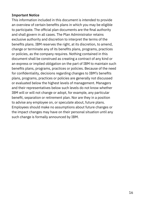#### **Important Notice**

This information included in this document is intended to provide an overview of certain benefits plans in which you may be eligible to participate. The official plan documents are the final authority and shall govern in all cases. The Plan Administrator retains exclusive authority and discretion to interpret the terms of the benefits plans. IBM reserves the right, at its discretion, to amend, change or terminate any of its benefits plans, programs, practices or policies, as the company requires. Nothing contained in this document shall be construed as creating a contract of any kind or an express or implied obligation on the part of IBM to maintain such benefits plans, programs, practices or policies. Because of the need for confidentiality, decisions regarding changes to IBM's benefits plans, programs, practices or policies are generally not discussed or evaluated below the highest levels of management. Managers and their representatives below such levels do not know whether IBM will or will not change or adopt, for example, any particular benefit, separation or retirement plan. Nor are they in a position to advise any employee on, or speculate about, future plans. Employees should make no assumptions about future changes or the impact changes may have on their personal situation until any such change is formally announced by IBM.